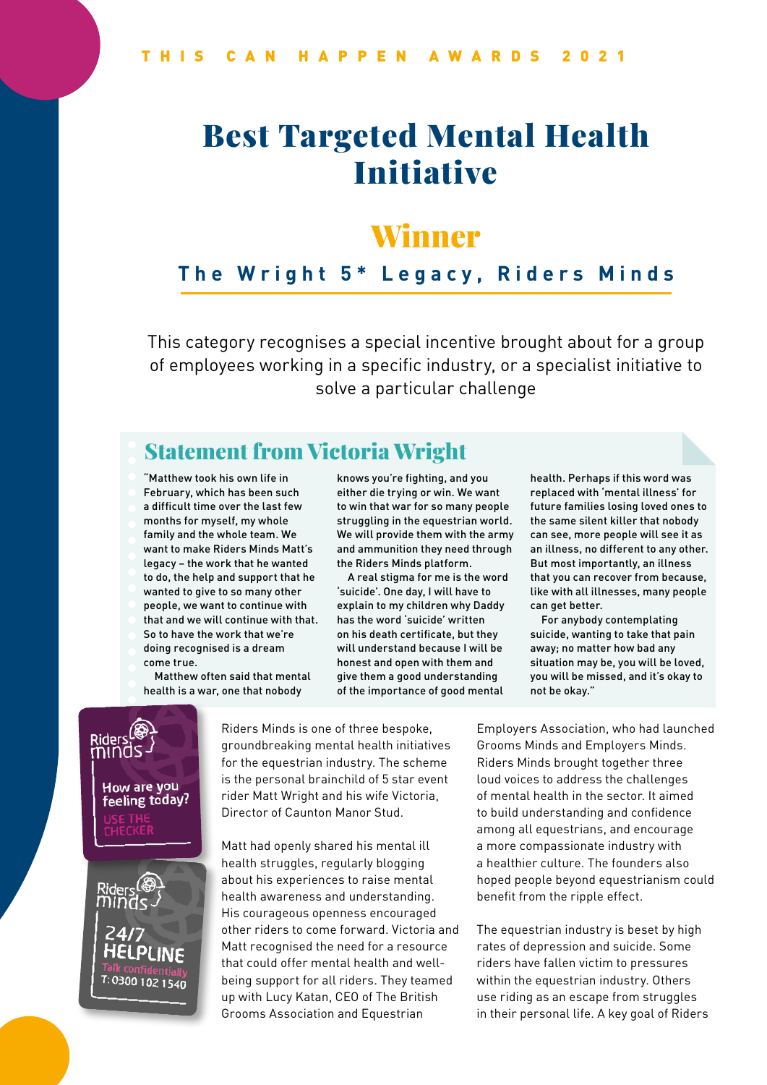# Best Targeted Mental Health Initiative

## Winner

#### **The Wright 5\* Legacy, Riders Minds**

This category recognises a special incentive brought about for a group of employees working in a specific industry, or a specialist initiative to solve a particular challenge

## Statement from Victoria Wright

"Matthew took his own life in February, which has been such a difficult time over the last few months for myself, my whole family and the whole team. We want to make Riders Minds Matt's legacy – the work that he wanted to do, the help and support that he wanted to give to so many other people, we want to continue with that and we will continue with that. So to have the work that we're doing recognised is a dream come true.

Matthew often said that mental health is a war, one that nobody

knows you're fighting, and you either die trying or win. We want to win that war for so many people struggling in the equestrian world. We will provide them with the army and ammunition they need through the Riders Minds platform.

A real stigma for me is the word 'suicide'. One day, I will have to explain to my children why Daddy has the word 'suicide' written on his death certificate, but they will understand because I will be honest and open with them and give them a good understanding of the importance of good mental

health. Perhaps if this word was replaced with 'mental illness' for future families losing loved ones to the same silent killer that nobody can see, more people will see it as an illness, no different to any other. But most importantly, an illness that you can recover from because, like with all illnesses, many people can get better.

For anybody contemplating suicide, wanting to take that pain away; no matter how bad any situation may be, you will be loved, you will be missed, and it's okay to not be okay."



Riders Minds is one of three bespoke, groundbreaking mental health initiatives for the equestrian industry. The scheme is the personal brainchild of 5 star event rider Matt Wright and his wife Victoria, Director of Caunton Manor Stud.

Matt had openly shared his mental ill health struggles, regularly blogging about his experiences to raise mental health awareness and understanding. His courageous openness encouraged other riders to come forward. Victoria and Matt recognised the need for a resource that could offer mental health and wellbeing support for all riders. They teamed up with Lucy Katan, CEO of The British Grooms Association and Equestrian

Employers Association, who had launched Grooms Minds and Employers Minds. Riders Minds brought together three loud voices to address the challenges of mental health in the sector. It aimed to build understanding and confidence among all equestrians, and encourage a more compassionate industry with a healthier culture. The founders also hoped people beyond equestrianism could benefit from the ripple effect.

The equestrian industry is beset by high rates of depression and suicide. Some riders have fallen victim to pressures within the equestrian industry. Others use riding as an escape from struggles in their personal life. A key goal of Riders